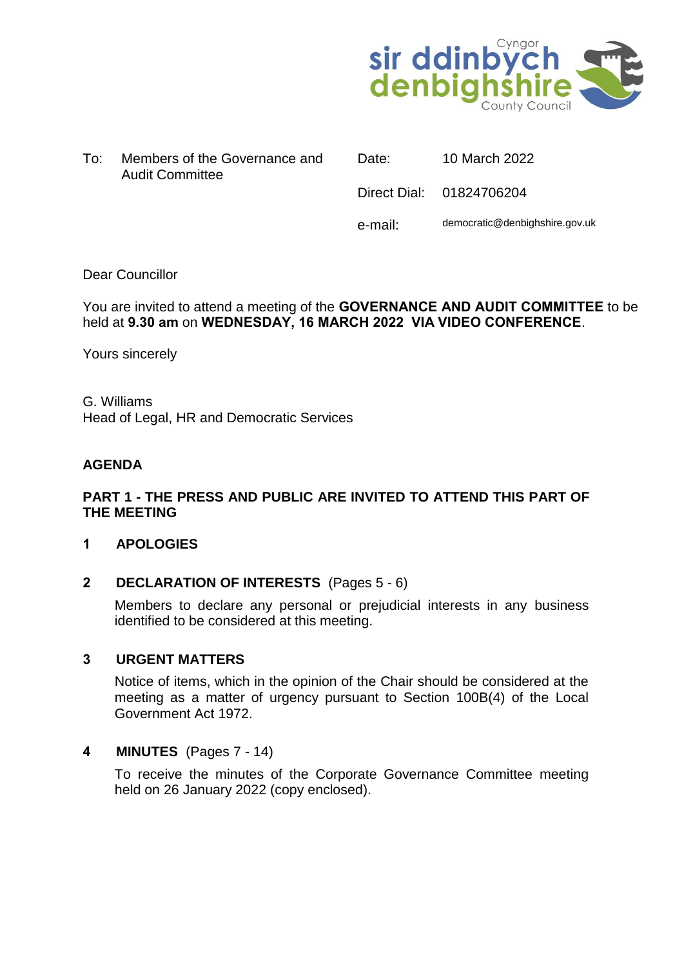

| To: | Members of the Governance and |
|-----|-------------------------------|
|     | <b>Audit Committee</b>        |

Date: 10 March 2022

Direct Dial: 01824706204

e-mail: democratic@denbighshire.gov.uk

#### Dear Councillor

## You are invited to attend a meeting of the **GOVERNANCE AND AUDIT COMMITTEE** to be held at **9.30 am** on **WEDNESDAY, 16 MARCH 2022 VIA VIDEO CONFERENCE**.

Yours sincerely

G. Williams Head of Legal, HR and Democratic Services

#### **AGENDA**

## **PART 1 - THE PRESS AND PUBLIC ARE INVITED TO ATTEND THIS PART OF THE MEETING**

#### **1 APOLOGIES**

#### **2 DECLARATION OF INTERESTS** (Pages 5 - 6)

Members to declare any personal or prejudicial interests in any business identified to be considered at this meeting.

#### **3 URGENT MATTERS**

Notice of items, which in the opinion of the Chair should be considered at the meeting as a matter of urgency pursuant to Section 100B(4) of the Local Government Act 1972.

#### **4 MINUTES** (Pages 7 - 14)

To receive the minutes of the Corporate Governance Committee meeting held on 26 January 2022 (copy enclosed).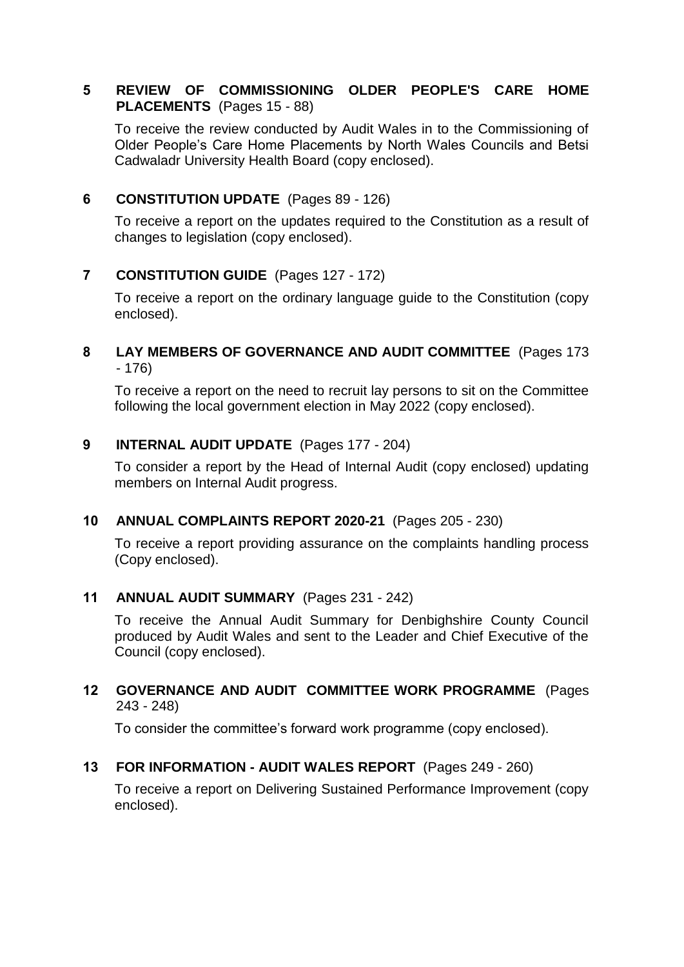## **5 REVIEW OF COMMISSIONING OLDER PEOPLE'S CARE HOME PLACEMENTS** (Pages 15 - 88)

To receive the review conducted by Audit Wales in to the Commissioning of Older People's Care Home Placements by North Wales Councils and Betsi Cadwaladr University Health Board (copy enclosed).

# **6 CONSTITUTION UPDATE** (Pages 89 - 126)

To receive a report on the updates required to the Constitution as a result of changes to legislation (copy enclosed).

# **7 CONSTITUTION GUIDE** (Pages 127 - 172)

To receive a report on the ordinary language guide to the Constitution (copy enclosed).

## **8 LAY MEMBERS OF GOVERNANCE AND AUDIT COMMITTEE** (Pages 173 - 176)

To receive a report on the need to recruit lay persons to sit on the Committee following the local government election in May 2022 (copy enclosed).

#### **9 INTERNAL AUDIT UPDATE** (Pages 177 - 204)

To consider a report by the Head of Internal Audit (copy enclosed) updating members on Internal Audit progress.

#### **10 ANNUAL COMPLAINTS REPORT 2020-21** (Pages 205 - 230)

To receive a report providing assurance on the complaints handling process (Copy enclosed).

#### **11 ANNUAL AUDIT SUMMARY** (Pages 231 - 242)

To receive the Annual Audit Summary for Denbighshire County Council produced by Audit Wales and sent to the Leader and Chief Executive of the Council (copy enclosed).

## **12 GOVERNANCE AND AUDIT COMMITTEE WORK PROGRAMME** (Pages 243 - 248)

To consider the committee's forward work programme (copy enclosed).

#### **13 FOR INFORMATION - AUDIT WALES REPORT** (Pages 249 - 260)

To receive a report on Delivering Sustained Performance Improvement (copy enclosed).